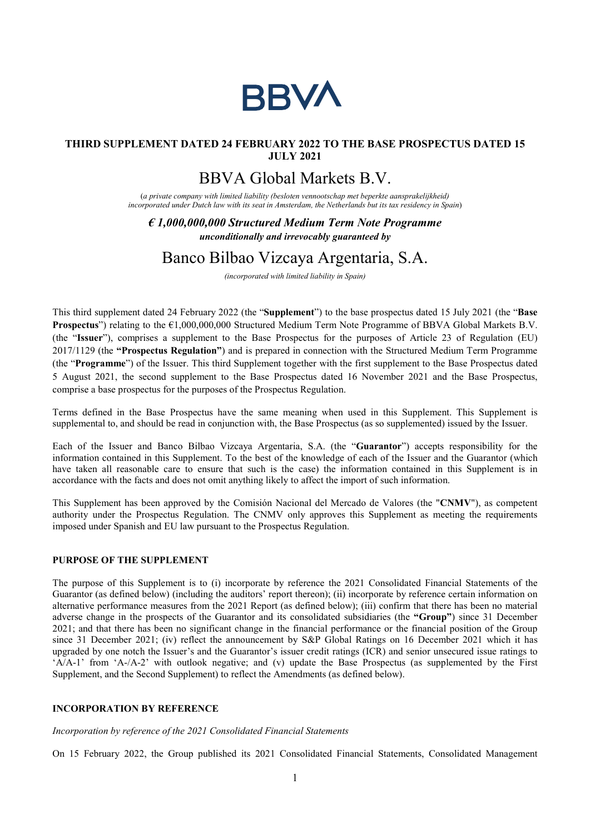

### THIRD SUPPLEMENT DATED 24 FEBRUARY 2022 TO THE BASE PROSPECTUS DATED 15 JULY 2021

# BBVA Global Markets B.V.

(a private company with limited liability (besloten vennootschap met beperkte aansprakelijkheid) incorporated under Dutch law with its seat in Amsterdam, the Netherlands but its tax residency in Spain)

 $\epsilon$  1,000,000,000 Structured Medium Term Note Programme unconditionally and irrevocably guaranteed by

## Banco Bilbao Vizcaya Argentaria, S.A.

(incorporated with limited liability in Spain)

This third supplement dated 24 February 2022 (the "Supplement") to the base prospectus dated 15 July 2021 (the "Base **Prospectus**") relating to the  $\epsilon$ 1,000,000,000 Structured Medium Term Note Programme of BBVA Global Markets B.V. (the "Issuer"), comprises a supplement to the Base Prospectus for the purposes of Article 23 of Regulation (EU) 2017/1129 (the "Prospectus Regulation") and is prepared in connection with the Structured Medium Term Programme (the "Programme") of the Issuer. This third Supplement together with the first supplement to the Base Prospectus dated 5 August 2021, the second supplement to the Base Prospectus dated 16 November 2021 and the Base Prospectus, comprise a base prospectus for the purposes of the Prospectus Regulation.

Terms defined in the Base Prospectus have the same meaning when used in this Supplement. This Supplement is supplemental to, and should be read in conjunction with, the Base Prospectus (as so supplemented) issued by the Issuer.

Each of the Issuer and Banco Bilbao Vizcaya Argentaria, S.A. (the "Guarantor") accepts responsibility for the information contained in this Supplement. To the best of the knowledge of each of the Issuer and the Guarantor (which have taken all reasonable care to ensure that such is the case) the information contained in this Supplement is in accordance with the facts and does not omit anything likely to affect the import of such information.

This Supplement has been approved by the Comisión Nacional del Mercado de Valores (the "CNMV"), as competent authority under the Prospectus Regulation. The CNMV only approves this Supplement as meeting the requirements imposed under Spanish and EU law pursuant to the Prospectus Regulation.

#### PURPOSE OF THE SUPPLEMENT

The purpose of this Supplement is to (i) incorporate by reference the 2021 Consolidated Financial Statements of the Guarantor (as defined below) (including the auditors' report thereon); (ii) incorporate by reference certain information on alternative performance measures from the 2021 Report (as defined below); (iii) confirm that there has been no material adverse change in the prospects of the Guarantor and its consolidated subsidiaries (the "Group") since 31 December 2021; and that there has been no significant change in the financial performance or the financial position of the Group since 31 December 2021; (iv) reflect the announcement by S&P Global Ratings on 16 December 2021 which it has upgraded by one notch the Issuer's and the Guarantor's issuer credit ratings (ICR) and senior unsecured issue ratings to 'A/A-1' from 'A-/A-2' with outlook negative; and (v) update the Base Prospectus (as supplemented by the First Supplement, and the Second Supplement) to reflect the Amendments (as defined below).

#### INCORPORATION BY REFERENCE

#### Incorporation by reference of the 2021 Consolidated Financial Statements

On 15 February 2022, the Group published its 2021 Consolidated Financial Statements, Consolidated Management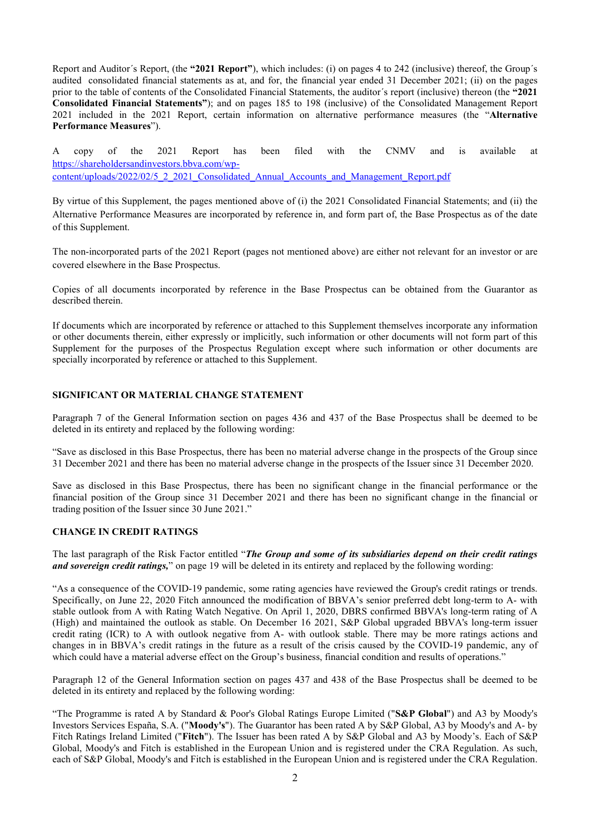Report and Auditor's Report, (the "2021 Report"), which includes: (i) on pages 4 to 242 (inclusive) thereof, the Group's audited consolidated financial statements as at, and for, the financial year ended 31 December 2021; (ii) on the pages prior to the table of contents of the Consolidated Financial Statements, the auditor´s report (inclusive) thereon (the "2021 Consolidated Financial Statements"); and on pages 185 to 198 (inclusive) of the Consolidated Management Report 2021 included in the 2021 Report, certain information on alternative performance measures (the "Alternative Performance Measures").

A copy of the 2021 Report has been filed with the CNMV and is available at https://shareholdersandinvestors.bbva.com/wpcontent/uploads/2022/02/5\_2\_2021\_Consolidated\_Annual\_Accounts\_and\_Management\_Report.pdf

By virtue of this Supplement, the pages mentioned above of (i) the 2021 Consolidated Financial Statements; and (ii) the Alternative Performance Measures are incorporated by reference in, and form part of, the Base Prospectus as of the date of this Supplement.

The non-incorporated parts of the 2021 Report (pages not mentioned above) are either not relevant for an investor or are covered elsewhere in the Base Prospectus.

Copies of all documents incorporated by reference in the Base Prospectus can be obtained from the Guarantor as described therein.

If documents which are incorporated by reference or attached to this Supplement themselves incorporate any information or other documents therein, either expressly or implicitly, such information or other documents will not form part of this Supplement for the purposes of the Prospectus Regulation except where such information or other documents are specially incorporated by reference or attached to this Supplement.

#### SIGNIFICANT OR MATERIAL CHANGE STATEMENT

Paragraph 7 of the General Information section on pages 436 and 437 of the Base Prospectus shall be deemed to be deleted in its entirety and replaced by the following wording:

"Save as disclosed in this Base Prospectus, there has been no material adverse change in the prospects of the Group since 31 December 2021 and there has been no material adverse change in the prospects of the Issuer since 31 December 2020.

Save as disclosed in this Base Prospectus, there has been no significant change in the financial performance or the financial position of the Group since 31 December 2021 and there has been no significant change in the financial or trading position of the Issuer since 30 June 2021."

#### CHANGE IN CREDIT RATINGS

The last paragraph of the Risk Factor entitled "The Group and some of its subsidiaries depend on their credit ratings and sovereign credit ratings," on page 19 will be deleted in its entirety and replaced by the following wording:

"As a consequence of the COVID-19 pandemic, some rating agencies have reviewed the Group's credit ratings or trends. Specifically, on June 22, 2020 Fitch announced the modification of BBVA's senior preferred debt long-term to A- with stable outlook from A with Rating Watch Negative. On April 1, 2020, DBRS confirmed BBVA's long-term rating of A (High) and maintained the outlook as stable. On December 16 2021, S&P Global upgraded BBVA's long-term issuer credit rating (ICR) to A with outlook negative from A- with outlook stable. There may be more ratings actions and changes in in BBVA's credit ratings in the future as a result of the crisis caused by the COVID-19 pandemic, any of which could have a material adverse effect on the Group's business, financial condition and results of operations."

Paragraph 12 of the General Information section on pages 437 and 438 of the Base Prospectus shall be deemed to be deleted in its entirety and replaced by the following wording:

"The Programme is rated A by Standard & Poor's Global Ratings Europe Limited ("S&P Global") and A3 by Moody's Investors Services España, S.A. ("Moody's"). The Guarantor has been rated A by S&P Global, A3 by Moody's and A- by Fitch Ratings Ireland Limited ("Fitch"). The Issuer has been rated A by S&P Global and A3 by Moody's. Each of S&P Global, Moody's and Fitch is established in the European Union and is registered under the CRA Regulation. As such, each of S&P Global, Moody's and Fitch is established in the European Union and is registered under the CRA Regulation.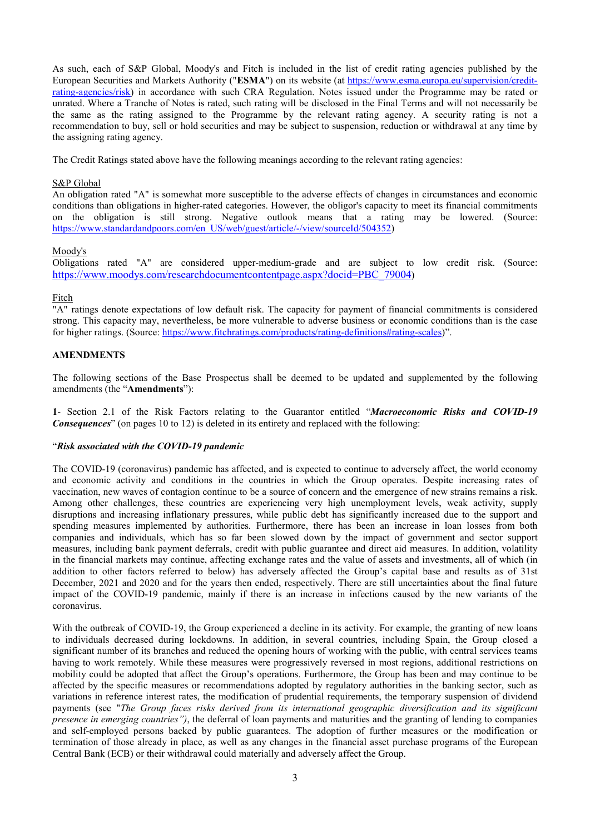As such, each of S&P Global, Moody's and Fitch is included in the list of credit rating agencies published by the European Securities and Markets Authority ("ESMA") on its website (at https://www.esma.europa.eu/supervision/creditrating-agencies/risk) in accordance with such CRA Regulation. Notes issued under the Programme may be rated or unrated. Where a Tranche of Notes is rated, such rating will be disclosed in the Final Terms and will not necessarily be the same as the rating assigned to the Programme by the relevant rating agency. A security rating is not a recommendation to buy, sell or hold securities and may be subject to suspension, reduction or withdrawal at any time by the assigning rating agency.

The Credit Ratings stated above have the following meanings according to the relevant rating agencies:

#### S&P Global

An obligation rated "A" is somewhat more susceptible to the adverse effects of changes in circumstances and economic conditions than obligations in higher-rated categories. However, the obligor's capacity to meet its financial commitments on the obligation is still strong. Negative outlook means that a rating may be lowered. (Source: https://www.standardandpoors.com/en\_US/web/guest/article/-/view/sourceId/504352)

#### Moody's

Obligations rated "A" are considered upper-medium-grade and are subject to low credit risk. (Source: https://www.moodys.com/researchdocumentcontentpage.aspx?docid=PBC\_79004)

#### Fitch

"A" ratings denote expectations of low default risk. The capacity for payment of financial commitments is considered strong. This capacity may, nevertheless, be more vulnerable to adverse business or economic conditions than is the case for higher ratings. (Source: https://www.fitchratings.com/products/rating-definitions#rating-scales)".

#### AMENDMENTS

The following sections of the Base Prospectus shall be deemed to be updated and supplemented by the following amendments (the "Amendments"):

1- Section 2.1 of the Risk Factors relating to the Guarantor entitled "Macroeconomic Risks and COVID-19" **Consequences**" (on pages 10 to 12) is deleted in its entirety and replaced with the following:

#### "Risk associated with the COVID-19 pandemic

The COVID-19 (coronavirus) pandemic has affected, and is expected to continue to adversely affect, the world economy and economic activity and conditions in the countries in which the Group operates. Despite increasing rates of vaccination, new waves of contagion continue to be a source of concern and the emergence of new strains remains a risk. Among other challenges, these countries are experiencing very high unemployment levels, weak activity, supply disruptions and increasing inflationary pressures, while public debt has significantly increased due to the support and spending measures implemented by authorities. Furthermore, there has been an increase in loan losses from both companies and individuals, which has so far been slowed down by the impact of government and sector support measures, including bank payment deferrals, credit with public guarantee and direct aid measures. In addition, volatility in the financial markets may continue, affecting exchange rates and the value of assets and investments, all of which (in addition to other factors referred to below) has adversely affected the Group's capital base and results as of 31st December, 2021 and 2020 and for the years then ended, respectively. There are still uncertainties about the final future impact of the COVID-19 pandemic, mainly if there is an increase in infections caused by the new variants of the coronavirus.

With the outbreak of COVID-19, the Group experienced a decline in its activity. For example, the granting of new loans to individuals decreased during lockdowns. In addition, in several countries, including Spain, the Group closed a significant number of its branches and reduced the opening hours of working with the public, with central services teams having to work remotely. While these measures were progressively reversed in most regions, additional restrictions on mobility could be adopted that affect the Group's operations. Furthermore, the Group has been and may continue to be affected by the specific measures or recommendations adopted by regulatory authorities in the banking sector, such as variations in reference interest rates, the modification of prudential requirements, the temporary suspension of dividend payments (see "The Group faces risks derived from its international geographic diversification and its significant presence in emerging countries"), the deferral of loan payments and maturities and the granting of lending to companies and self-employed persons backed by public guarantees. The adoption of further measures or the modification or termination of those already in place, as well as any changes in the financial asset purchase programs of the European Central Bank (ECB) or their withdrawal could materially and adversely affect the Group.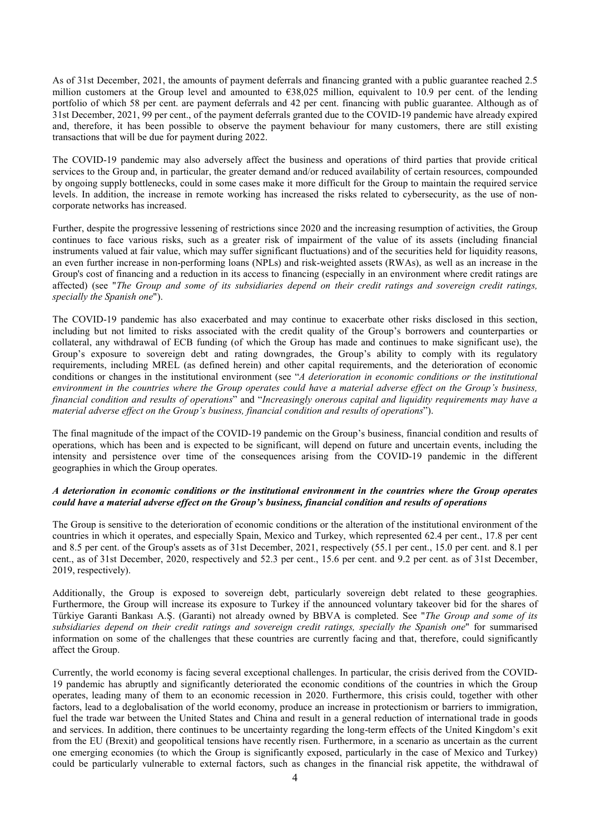As of 31st December, 2021, the amounts of payment deferrals and financing granted with a public guarantee reached 2.5 million customers at the Group level and amounted to  $\epsilon$ 38,025 million, equivalent to 10.9 per cent. of the lending portfolio of which 58 per cent. are payment deferrals and 42 per cent. financing with public guarantee. Although as of 31st December, 2021, 99 per cent., of the payment deferrals granted due to the COVID-19 pandemic have already expired and, therefore, it has been possible to observe the payment behaviour for many customers, there are still existing transactions that will be due for payment during 2022.

The COVID-19 pandemic may also adversely affect the business and operations of third parties that provide critical services to the Group and, in particular, the greater demand and/or reduced availability of certain resources, compounded by ongoing supply bottlenecks, could in some cases make it more difficult for the Group to maintain the required service levels. In addition, the increase in remote working has increased the risks related to cybersecurity, as the use of noncorporate networks has increased.

Further, despite the progressive lessening of restrictions since 2020 and the increasing resumption of activities, the Group continues to face various risks, such as a greater risk of impairment of the value of its assets (including financial instruments valued at fair value, which may suffer significant fluctuations) and of the securities held for liquidity reasons, an even further increase in non-performing loans (NPLs) and risk-weighted assets (RWAs), as well as an increase in the Group's cost of financing and a reduction in its access to financing (especially in an environment where credit ratings are affected) (see "The Group and some of its subsidiaries depend on their credit ratings and sovereign credit ratings, specially the Spanish one").

The COVID-19 pandemic has also exacerbated and may continue to exacerbate other risks disclosed in this section, including but not limited to risks associated with the credit quality of the Group's borrowers and counterparties or collateral, any withdrawal of ECB funding (of which the Group has made and continues to make significant use), the Group's exposure to sovereign debt and rating downgrades, the Group's ability to comply with its regulatory requirements, including MREL (as defined herein) and other capital requirements, and the deterioration of economic conditions or changes in the institutional environment (see "A deterioration in economic conditions or the institutional environment in the countries where the Group operates could have a material adverse effect on the Group's business, financial condition and results of operations" and "Increasingly onerous capital and liquidity requirements may have a material adverse effect on the Group's business, financial condition and results of operations").

The final magnitude of the impact of the COVID-19 pandemic on the Group's business, financial condition and results of operations, which has been and is expected to be significant, will depend on future and uncertain events, including the intensity and persistence over time of the consequences arising from the COVID-19 pandemic in the different geographies in which the Group operates.

#### A deterioration in economic conditions or the institutional environment in the countries where the Group operates could have a material adverse effect on the Group's business, financial condition and results of operations

The Group is sensitive to the deterioration of economic conditions or the alteration of the institutional environment of the countries in which it operates, and especially Spain, Mexico and Turkey, which represented 62.4 per cent., 17.8 per cent and 8.5 per cent. of the Group's assets as of 31st December, 2021, respectively (55.1 per cent., 15.0 per cent. and 8.1 per cent., as of 31st December, 2020, respectively and 52.3 per cent., 15.6 per cent. and 9.2 per cent. as of 31st December, 2019, respectively).

Additionally, the Group is exposed to sovereign debt, particularly sovereign debt related to these geographies. Furthermore, the Group will increase its exposure to Turkey if the announced voluntary takeover bid for the shares of Türkiye Garanti Bankası A.Ş. (Garanti) not already owned by BBVA is completed. See "The Group and some of its subsidiaries depend on their credit ratings and sovereign credit ratings, specially the Spanish one" for summarised information on some of the challenges that these countries are currently facing and that, therefore, could significantly affect the Group.

Currently, the world economy is facing several exceptional challenges. In particular, the crisis derived from the COVID-19 pandemic has abruptly and significantly deteriorated the economic conditions of the countries in which the Group operates, leading many of them to an economic recession in 2020. Furthermore, this crisis could, together with other factors, lead to a deglobalisation of the world economy, produce an increase in protectionism or barriers to immigration, fuel the trade war between the United States and China and result in a general reduction of international trade in goods and services. In addition, there continues to be uncertainty regarding the long-term effects of the United Kingdom's exit from the EU (Brexit) and geopolitical tensions have recently risen. Furthermore, in a scenario as uncertain as the current one emerging economies (to which the Group is significantly exposed, particularly in the case of Mexico and Turkey) could be particularly vulnerable to external factors, such as changes in the financial risk appetite, the withdrawal of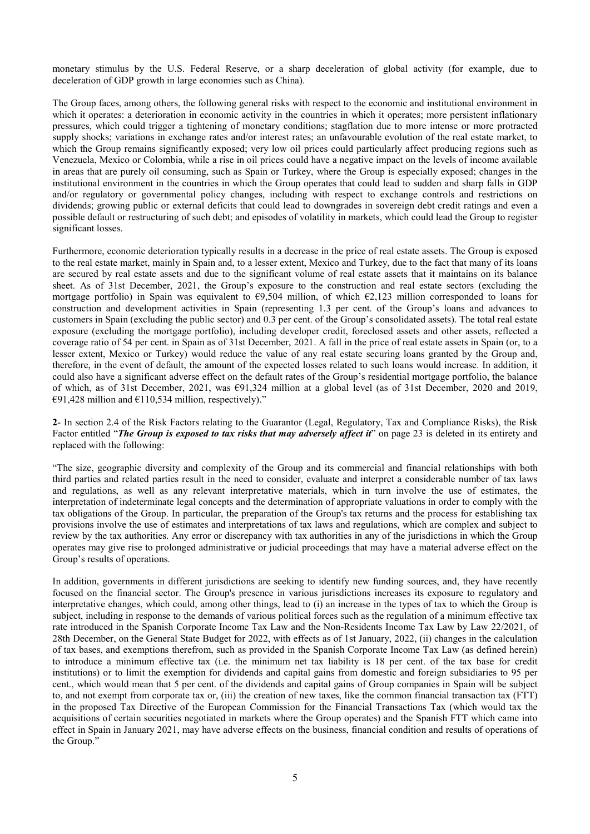monetary stimulus by the U.S. Federal Reserve, or a sharp deceleration of global activity (for example, due to deceleration of GDP growth in large economies such as China).

The Group faces, among others, the following general risks with respect to the economic and institutional environment in which it operates: a deterioration in economic activity in the countries in which it operates; more persistent inflationary pressures, which could trigger a tightening of monetary conditions; stagflation due to more intense or more protracted supply shocks; variations in exchange rates and/or interest rates; an unfavourable evolution of the real estate market, to which the Group remains significantly exposed; very low oil prices could particularly affect producing regions such as Venezuela, Mexico or Colombia, while a rise in oil prices could have a negative impact on the levels of income available in areas that are purely oil consuming, such as Spain or Turkey, where the Group is especially exposed; changes in the institutional environment in the countries in which the Group operates that could lead to sudden and sharp falls in GDP and/or regulatory or governmental policy changes, including with respect to exchange controls and restrictions on dividends; growing public or external deficits that could lead to downgrades in sovereign debt credit ratings and even a possible default or restructuring of such debt; and episodes of volatility in markets, which could lead the Group to register significant losses.

Furthermore, economic deterioration typically results in a decrease in the price of real estate assets. The Group is exposed to the real estate market, mainly in Spain and, to a lesser extent, Mexico and Turkey, due to the fact that many of its loans are secured by real estate assets and due to the significant volume of real estate assets that it maintains on its balance sheet. As of 31st December, 2021, the Group's exposure to the construction and real estate sectors (excluding the mortgage portfolio) in Spain was equivalent to  $\epsilon$ 9,504 million, of which  $\epsilon$ 2,123 million corresponded to loans for construction and development activities in Spain (representing 1.3 per cent. of the Group's loans and advances to customers in Spain (excluding the public sector) and 0.3 per cent. of the Group's consolidated assets). The total real estate exposure (excluding the mortgage portfolio), including developer credit, foreclosed assets and other assets, reflected a coverage ratio of 54 per cent. in Spain as of 31st December, 2021. A fall in the price of real estate assets in Spain (or, to a lesser extent, Mexico or Turkey) would reduce the value of any real estate securing loans granted by the Group and, therefore, in the event of default, the amount of the expected losses related to such loans would increase. In addition, it could also have a significant adverse effect on the default rates of the Group's residential mortgage portfolio, the balance of which, as of 31st December, 2021, was €91,324 million at a global level (as of 31st December, 2020 and 2019, €91,428 million and  $€110,534$  million, respectively)."

2- In section 2.4 of the Risk Factors relating to the Guarantor (Legal, Regulatory, Tax and Compliance Risks), the Risk Factor entitled "The Group is exposed to tax risks that may adversely affect it" on page 23 is deleted in its entirety and replaced with the following:

"The size, geographic diversity and complexity of the Group and its commercial and financial relationships with both third parties and related parties result in the need to consider, evaluate and interpret a considerable number of tax laws and regulations, as well as any relevant interpretative materials, which in turn involve the use of estimates, the interpretation of indeterminate legal concepts and the determination of appropriate valuations in order to comply with the tax obligations of the Group. In particular, the preparation of the Group's tax returns and the process for establishing tax provisions involve the use of estimates and interpretations of tax laws and regulations, which are complex and subject to review by the tax authorities. Any error or discrepancy with tax authorities in any of the jurisdictions in which the Group operates may give rise to prolonged administrative or judicial proceedings that may have a material adverse effect on the Group's results of operations.

In addition, governments in different jurisdictions are seeking to identify new funding sources, and, they have recently focused on the financial sector. The Group's presence in various jurisdictions increases its exposure to regulatory and interpretative changes, which could, among other things, lead to (i) an increase in the types of tax to which the Group is subject, including in response to the demands of various political forces such as the regulation of a minimum effective tax rate introduced in the Spanish Corporate Income Tax Law and the Non-Residents Income Tax Law by Law 22/2021, of 28th December, on the General State Budget for 2022, with effects as of 1st January, 2022, (ii) changes in the calculation of tax bases, and exemptions therefrom, such as provided in the Spanish Corporate Income Tax Law (as defined herein) to introduce a minimum effective tax (i.e. the minimum net tax liability is 18 per cent. of the tax base for credit institutions) or to limit the exemption for dividends and capital gains from domestic and foreign subsidiaries to 95 per cent., which would mean that 5 per cent. of the dividends and capital gains of Group companies in Spain will be subject to, and not exempt from corporate tax or, (iii) the creation of new taxes, like the common financial transaction tax (FTT) in the proposed Tax Directive of the European Commission for the Financial Transactions Tax (which would tax the acquisitions of certain securities negotiated in markets where the Group operates) and the Spanish FTT which came into effect in Spain in January 2021, may have adverse effects on the business, financial condition and results of operations of the Group."